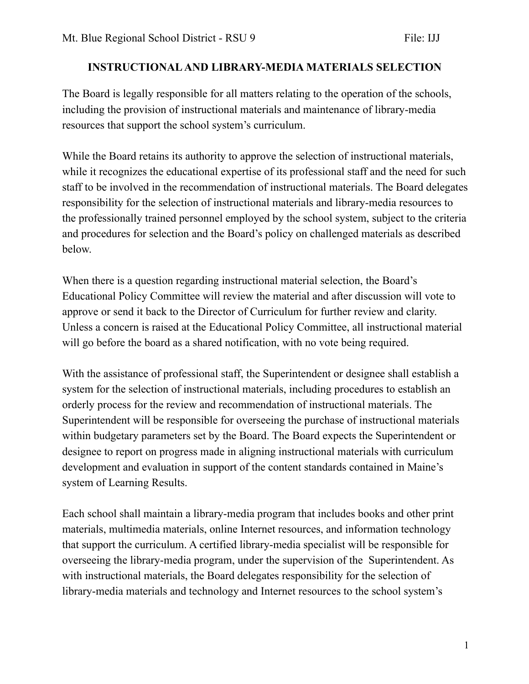The Board is legally responsible for all matters relating to the operation of the schools, including the provision of instructional materials and maintenance of library-media resources that support the school system's curriculum.

While the Board retains its authority to approve the selection of instructional materials, while it recognizes the educational expertise of its professional staff and the need for such staff to be involved in the recommendation of instructional materials. The Board delegates responsibility for the selection of instructional materials and library-media resources to the professionally trained personnel employed by the school system, subject to the criteria and procedures for selection and the Board's policy on challenged materials as described below.

When there is a question regarding instructional material selection, the Board's Educational Policy Committee will review the material and after discussion will vote to approve or send it back to the Director of Curriculum for further review and clarity. Unless a concern is raised at the Educational Policy Committee, all instructional material will go before the board as a shared notification, with no vote being required.

With the assistance of professional staff, the Superintendent or designee shall establish a system for the selection of instructional materials, including procedures to establish an orderly process for the review and recommendation of instructional materials. The Superintendent will be responsible for overseeing the purchase of instructional materials within budgetary parameters set by the Board. The Board expects the Superintendent or designee to report on progress made in aligning instructional materials with curriculum development and evaluation in support of the content standards contained in Maine's system of Learning Results.

Each school shall maintain a library-media program that includes books and other print materials, multimedia materials, online Internet resources, and information technology that support the curriculum. A certified library-media specialist will be responsible for overseeing the library-media program, under the supervision of the Superintendent. As with instructional materials, the Board delegates responsibility for the selection of library-media materials and technology and Internet resources to the school system's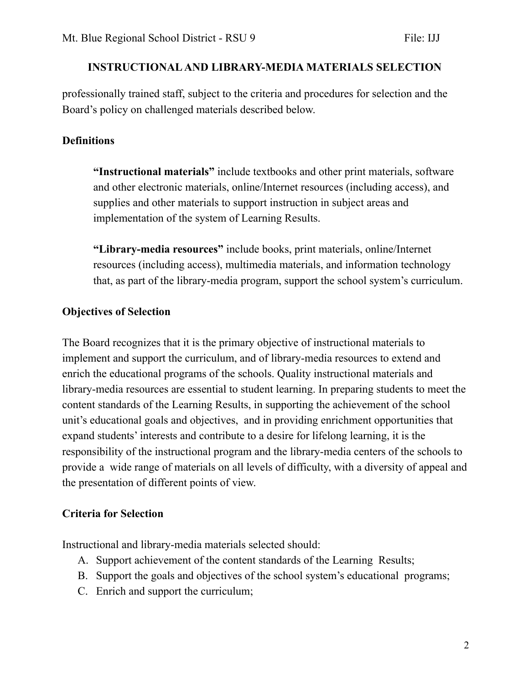professionally trained staff, subject to the criteria and procedures for selection and the Board's policy on challenged materials described below.

# **Definitions**

**"Instructional materials"** include textbooks and other print materials, software and other electronic materials, online/Internet resources (including access), and supplies and other materials to support instruction in subject areas and implementation of the system of Learning Results.

**"Library-media resources"** include books, print materials, online/Internet resources (including access), multimedia materials, and information technology that, as part of the library-media program, support the school system's curriculum.

# **Objectives of Selection**

The Board recognizes that it is the primary objective of instructional materials to implement and support the curriculum, and of library-media resources to extend and enrich the educational programs of the schools. Quality instructional materials and library-media resources are essential to student learning. In preparing students to meet the content standards of the Learning Results, in supporting the achievement of the school unit's educational goals and objectives, and in providing enrichment opportunities that expand students' interests and contribute to a desire for lifelong learning, it is the responsibility of the instructional program and the library-media centers of the schools to provide a wide range of materials on all levels of difficulty, with a diversity of appeal and the presentation of different points of view.

## **Criteria for Selection**

Instructional and library-media materials selected should:

- A. Support achievement of the content standards of the Learning Results;
- B. Support the goals and objectives of the school system's educational programs;
- C. Enrich and support the curriculum;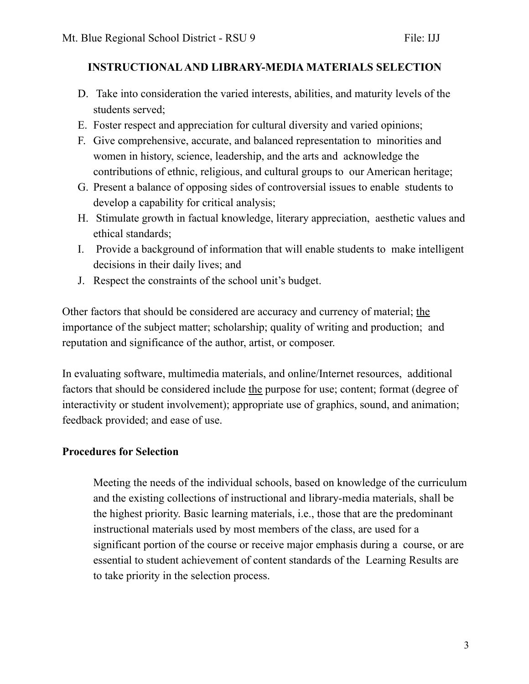- D. Take into consideration the varied interests, abilities, and maturity levels of the students served;
- E. Foster respect and appreciation for cultural diversity and varied opinions;
- F. Give comprehensive, accurate, and balanced representation to minorities and women in history, science, leadership, and the arts and acknowledge the contributions of ethnic, religious, and cultural groups to our American heritage;
- G. Present a balance of opposing sides of controversial issues to enable students to develop a capability for critical analysis;
- H. Stimulate growth in factual knowledge, literary appreciation, aesthetic values and ethical standards;
- I. Provide a background of information that will enable students to make intelligent decisions in their daily lives; and
- J. Respect the constraints of the school unit's budget.

Other factors that should be considered are accuracy and currency of material; the importance of the subject matter; scholarship; quality of writing and production; and reputation and significance of the author, artist, or composer.

In evaluating software, multimedia materials, and online/Internet resources, additional factors that should be considered include the purpose for use; content; format (degree of interactivity or student involvement); appropriate use of graphics, sound, and animation; feedback provided; and ease of use.

# **Procedures for Selection**

Meeting the needs of the individual schools, based on knowledge of the curriculum and the existing collections of instructional and library-media materials, shall be the highest priority. Basic learning materials, i.e., those that are the predominant instructional materials used by most members of the class, are used for a significant portion of the course or receive major emphasis during a course, or are essential to student achievement of content standards of the Learning Results are to take priority in the selection process.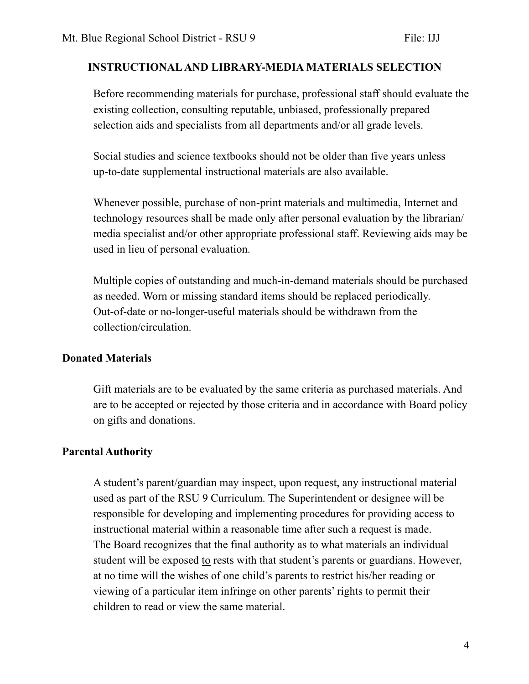Before recommending materials for purchase, professional staff should evaluate the existing collection, consulting reputable, unbiased, professionally prepared selection aids and specialists from all departments and/or all grade levels.

Social studies and science textbooks should not be older than five years unless up-to-date supplemental instructional materials are also available.

Whenever possible, purchase of non-print materials and multimedia, Internet and technology resources shall be made only after personal evaluation by the librarian/ media specialist and/or other appropriate professional staff. Reviewing aids may be used in lieu of personal evaluation.

Multiple copies of outstanding and much-in-demand materials should be purchased as needed. Worn or missing standard items should be replaced periodically. Out-of-date or no-longer-useful materials should be withdrawn from the collection/circulation.

#### **Donated Materials**

Gift materials are to be evaluated by the same criteria as purchased materials. And are to be accepted or rejected by those criteria and in accordance with Board policy on gifts and donations.

## **Parental Authority**

A student's parent/guardian may inspect, upon request, any instructional material used as part of the RSU 9 Curriculum. The Superintendent or designee will be responsible for developing and implementing procedures for providing access to instructional material within a reasonable time after such a request is made. The Board recognizes that the final authority as to what materials an individual student will be exposed to rests with that student's parents or guardians. However, at no time will the wishes of one child's parents to restrict his/her reading or viewing of a particular item infringe on other parents' rights to permit their children to read or view the same material.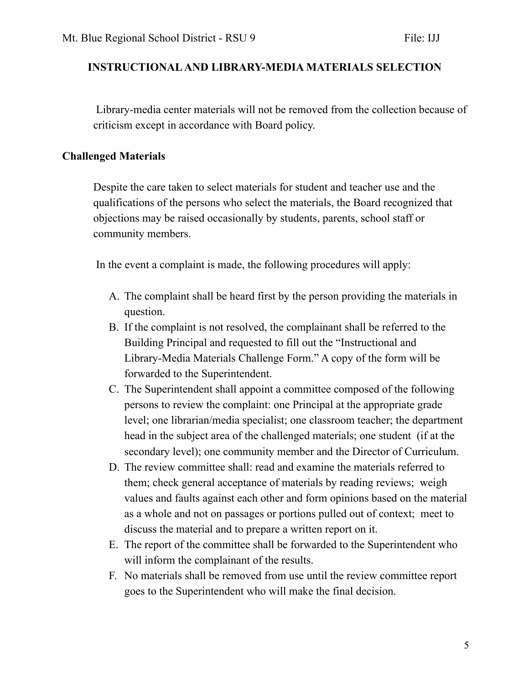Library-media center materials will not be removed from the collection because of criticism except in accordance with Board policy.

## **Challenged Materials**

Despite the care taken to select materials for student and teacher use and the qualifications of the persons who select the materials, the Board recognized that objections may be raised occasionally by students, parents, school staff or community members.

In the event a complaint is made, the following procedures will apply:

- A. The complaint shall be heard first by the person providing the materials in question.
- B. If the complaint is not resolved, the complainant shall be referred to the Building Principal and requested to fill out the "Instructional and Library-Media Materials Challenge Form." A copy of the form will be forwarded to the Superintendent.
- C. The Superintendent shall appoint a committee composed of the following persons to review the complaint: one Principal at the appropriate grade level; one librarian/media specialist; one classroom teacher; the department head in the subject area of the challenged materials; one student (if at the secondary level); one community member and the Director of Curriculum.
- D. The review committee shall: read and examine the materials referred to them; check general acceptance of materials by reading reviews; weigh values and faults against each other and form opinions based on the material as a whole and not on passages or portions pulled out of context; meet to discuss the material and to prepare a written report on it.
- E. The report of the committee shall be forwarded to the Superintendent who will inform the complainant of the results.
- F. No materials shall be removed from use until the review committee report goes to the Superintendent who will make the final decision.